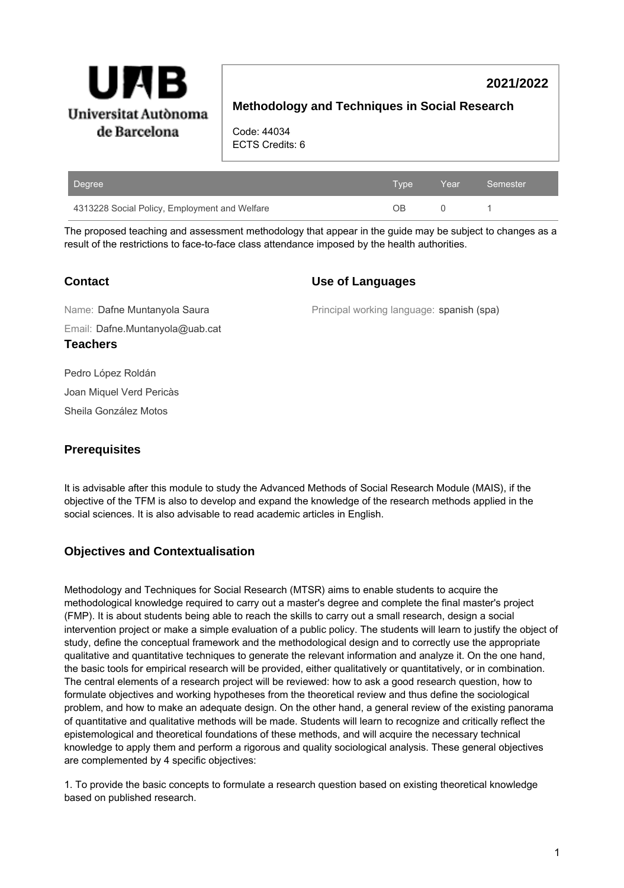

# **2021/2022**

# **Methodology and Techniques in Social Research**

Code: 44034 ECTS Credits: 6

| Degree                                        | Type | Year | Semester |
|-----------------------------------------------|------|------|----------|
| 4313228 Social Policy, Employment and Welfare | nв   |      |          |

The proposed teaching and assessment methodology that appear in the guide may be subject to changes as a result of the restrictions to face-to-face class attendance imposed by the health authorities.

# **Contact**

## **Use of Languages**

Email: Dafne.Muntanyola@uab.cat Name: Dafne Muntanyola Saura **Teachers**

Principal working language: spanish (spa)

Pedro López Roldán

Joan Miquel Verd Pericàs

Sheila González Motos

# **Prerequisites**

It is advisable after this module to study the Advanced Methods of Social Research Module (MAIS), if the objective of the TFM is also to develop and expand the knowledge of the research methods applied in the social sciences. It is also advisable to read academic articles in English.

# **Objectives and Contextualisation**

Methodology and Techniques for Social Research (MTSR) aims to enable students to acquire the methodological knowledge required to carry out a master's degree and complete the final master's project (FMP). It is about students being able to reach the skills to carry out a small research, design a social intervention project or make a simple evaluation of a public policy. The students will learn to justify the object of study, define the conceptual framework and the methodological design and to correctly use the appropriate qualitative and quantitative techniques to generate the relevant information and analyze it. On the one hand, the basic tools for empirical research will be provided, either qualitatively or quantitatively, or in combination. The central elements of a research project will be reviewed: how to ask a good research question, how to formulate objectives and working hypotheses from the theoretical review and thus define the sociological problem, and how to make an adequate design. On the other hand, a general review of the existing panorama of quantitative and qualitative methods will be made. Students will learn to recognize and critically reflect the epistemological and theoretical foundations of these methods, and will acquire the necessary technical knowledge to apply them and perform a rigorous and quality sociological analysis. These general objectives are complemented by 4 specific objectives:

1. To provide the basic concepts to formulate a research question based on existing theoretical knowledge based on published research.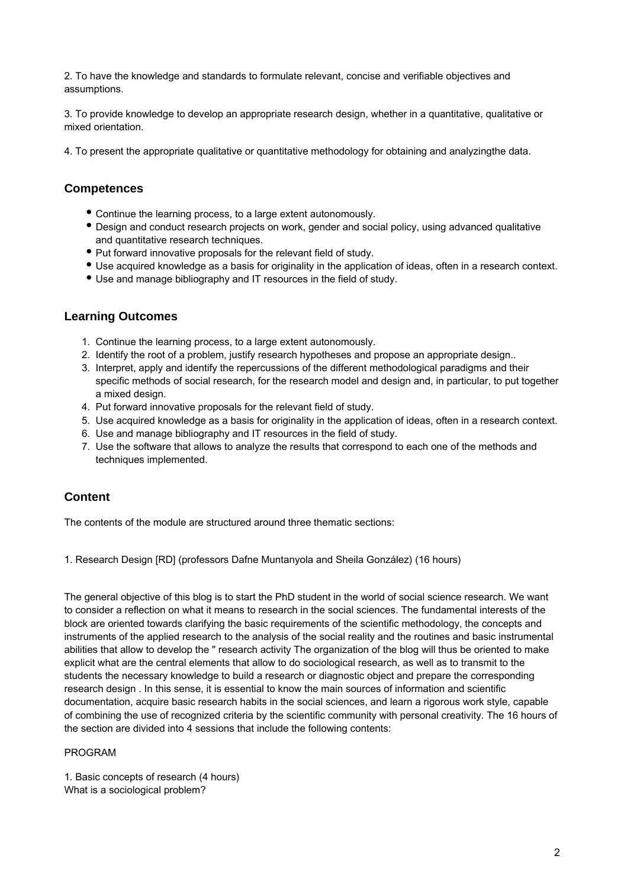2. To have the knowledge and standards to formulate relevant, concise and verifiable objectives and assumptions.

3. To provide knowledge to develop an appropriate research design, whether in a quantitative, qualitative or mixed orientation.

4. To present the appropriate qualitative or quantitative methodology for obtaining and analyzingthe data.

# **Competences**

- Continue the learning process, to a large extent autonomously.
- Design and conduct research projects on work, gender and social policy, using advanced qualitative and quantitative research techniques.
- Put forward innovative proposals for the relevant field of study.
- Use acquired knowledge as a basis for originality in the application of ideas, often in a research context.
- Use and manage bibliography and IT resources in the field of study.

## **Learning Outcomes**

- 1. Continue the learning process, to a large extent autonomously.
- 2. Identify the root of a problem, justify research hypotheses and propose an appropriate design..
- 3. Interpret, apply and identify the repercussions of the different methodological paradigms and their specific methods of social research, for the research model and design and, in particular, to put together a mixed design.
- 4. Put forward innovative proposals for the relevant field of study.
- 5. Use acquired knowledge as a basis for originality in the application of ideas, often in a research context.
- 6. Use and manage bibliography and IT resources in the field of study.
- 7. Use the software that allows to analyze the results that correspond to each one of the methods and techniques implemented.

# **Content**

The contents of the module are structured around three thematic sections:

1. Research Design [RD] (professors Dafne Muntanyola and Sheila González) (16 hours)

The general objective of this blog is to start the PhD student in the world of social science research. We want to consider a reflection on what it means to research in the social sciences. The fundamental interests of the block are oriented towards clarifying the basic requirements of the scientific methodology, the concepts and instruments of the applied research to the analysis of the social reality and the routines and basic instrumental abilities that allow to develop the " research activity The organization of the blog will thus be oriented to make explicit what are the central elements that allow to do sociological research, as well as to transmit to the students the necessary knowledge to build a research or diagnostic object and prepare the corresponding research design . In this sense, it is essential to know the main sources of information and scientific documentation, acquire basic research habits in the social sciences, and learn a rigorous work style, capable of combining the use of recognized criteria by the scientific community with personal creativity. The 16 hours of the section are divided into 4 sessions that include the following contents:

### PROGRAM

1. Basic concepts of research (4 hours) What is a sociological problem?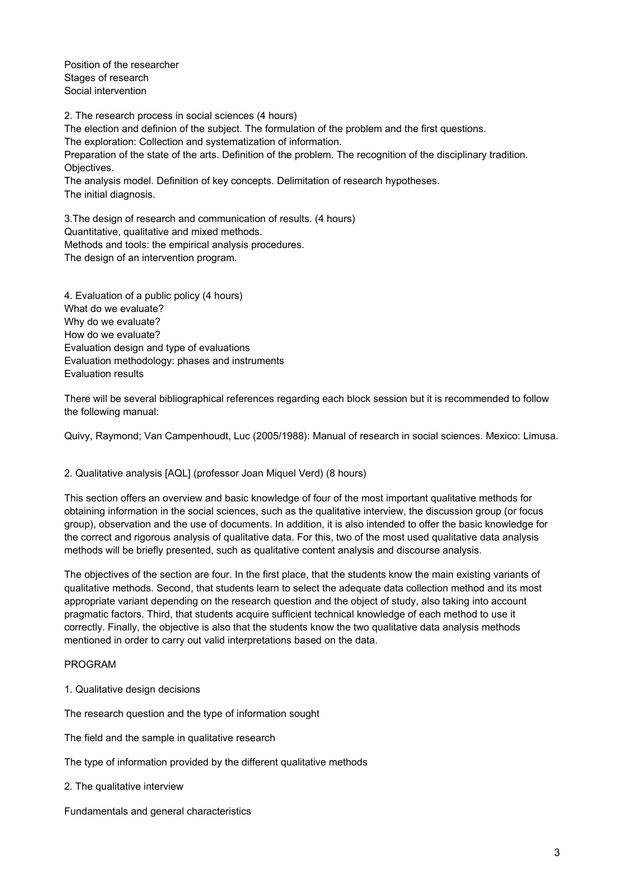Position of the researcher Stages of research Social intervention

2. The research process in social sciences (4 hours) The election and definion of the subject. The formulation of the problem and the first questions. The exploration: Collection and systematization of information. Preparation of the state of the arts. Definition of the problem. The recognition of the disciplinary tradition. Objectives. The analysis model. Definition of key concepts. Delimitation of research hypotheses. The initial diagnosis.

3.The design of research and communication of results. (4 hours) Quantitative, qualitative and mixed methods. Methods and tools: the empirical analysis procedures. The design of an intervention program.

4. Evaluation of a public policy (4 hours) What do we evaluate? Why do we evaluate? How do we evaluate? Evaluation design and type of evaluations Evaluation methodology: phases and instruments Evaluation results

There will be several bibliographical references regarding each block session but it is recommended to follow the following manual:

Quivy, Raymond; Van Campenhoudt, Luc (2005/1988): Manual of research in social sciences. Mexico: Limusa.

### 2. Qualitative analysis [AQL] (professor Joan Miquel Verd) (8 hours)

This section offers an overview and basic knowledge of four of the most important qualitative methods for obtaining information in the social sciences, such as the qualitative interview, the discussion group (or focus group), observation and the use of documents. In addition, it is also intended to offer the basic knowledge for the correct and rigorous analysis of qualitative data. For this, two of the most used qualitative data analysis methods will be briefly presented, such as qualitative content analysis and discourse analysis.

The objectives of the section are four. In the first place, that the students know the main existing variants of qualitative methods. Second, that students learn to select the adequate data collection method and its most appropriate variant depending on the research question and the object of study, also taking into account pragmatic factors. Third, that students acquire sufficient technical knowledge of each method to use it correctly. Finally, the objective is also that the students know the two qualitative data analysis methods mentioned in order to carry out valid interpretations based on the data.

#### PROGRAM

1. Qualitative design decisions

The research question and the type of information sought

The field and the sample in qualitative research

The type of information provided by the different qualitative methods

2. The qualitative interview

Fundamentals and general characteristics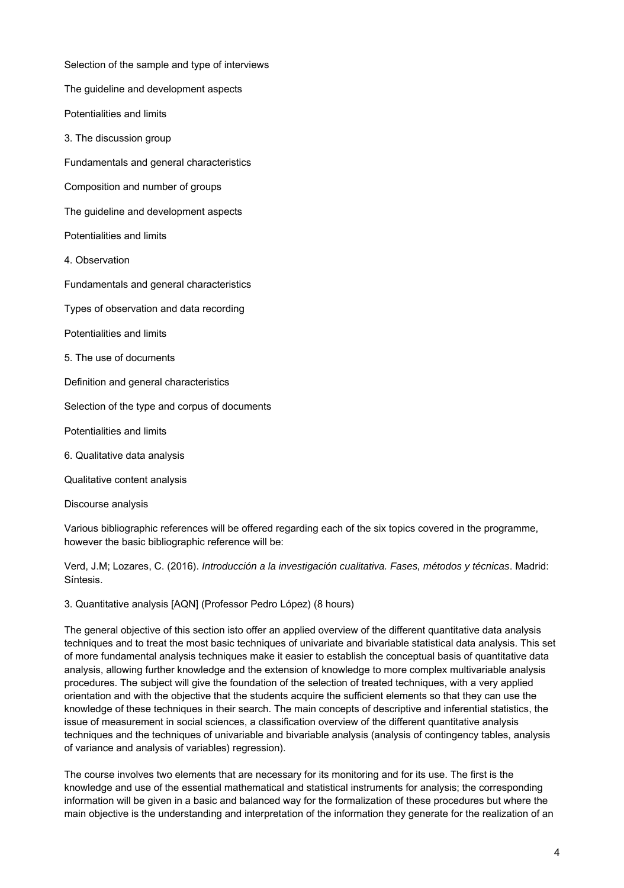Selection of the sample and type of interviews The guideline and development aspects Potentialities and limits 3. The discussion group Fundamentals and general characteristics Composition and number of groups The guideline and development aspects Potentialities and limits 4. Observation Fundamentals and general characteristics Types of observation and data recording Potentialities and limits 5. The use of documents Definition and general characteristics Selection of the type and corpus of documents Potentialities and limits 6. Qualitative data analysis Qualitative content analysis

Discourse analysis

Various bibliographic references will be offered regarding each of the six topics covered in the programme, however the basic bibliographic reference will be:

Verd, J.M; Lozares, C. (2016). Introducción a la investigación cualitativa. Fases, métodos y técnicas. Madrid: Síntesis.

3. Quantitative analysis [AQN] (Professor Pedro López) (8 hours)

The general objective of this section isto offer an applied overview of the different quantitative data analysis techniques and to treat the most basic techniques of univariate and bivariable statistical data analysis. This set of more fundamental analysis techniques make it easier to establish the conceptual basis of quantitative data analysis, allowing further knowledge and the extension of knowledge to more complex multivariable analysis procedures. The subject will give the foundation of the selection of treated techniques, with a very applied orientation and with the objective that the students acquire the sufficient elements so that they can use the knowledge of these techniques in their search. The main concepts of descriptive and inferential statistics, the issue of measurement in social sciences, a classification overview of the different quantitative analysis techniques and the techniques of univariable and bivariable analysis (analysis of contingency tables, analysis of variance and analysis of variables) regression).

The course involves two elements that are necessary for its monitoring and for its use. The first is the knowledge and use of the essential mathematical and statistical instruments for analysis; the corresponding information will be given in a basic and balanced way for the formalization of these procedures but where the main objective is the understanding and interpretation of the information they generate for the realization of an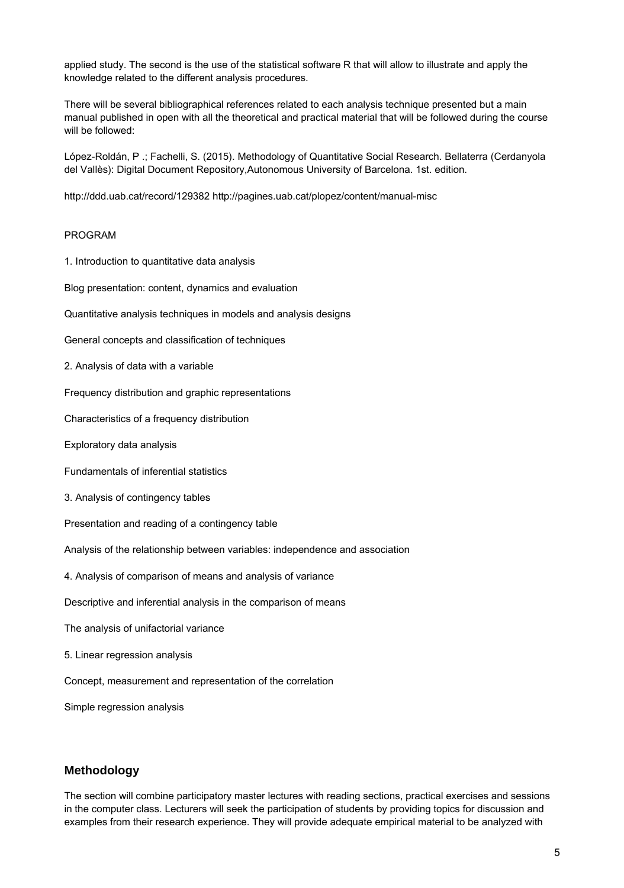applied study. The second is the use of the statistical software R that will allow to illustrate and apply the knowledge related to the different analysis procedures.

There will be several bibliographical references related to each analysis technique presented but a main manual published in open with all the theoretical and practical material that will be followed during the course will be followed:

López-Roldán, P .; Fachelli, S. (2015). Methodology of Quantitative Social Research. Bellaterra (Cerdanyola del Vallès): Digital Document Repository,Autonomous University of Barcelona. 1st. edition.

http://ddd.uab.cat/record/129382 http://pagines.uab.cat/plopez/content/manual-misc

#### PROGRAM

- 1. Introduction to quantitative data analysis
- Blog presentation: content, dynamics and evaluation
- Quantitative analysis techniques in models and analysis designs
- General concepts and classification of techniques
- 2. Analysis of data with a variable
- Frequency distribution and graphic representations
- Characteristics of a frequency distribution
- Exploratory data analysis
- Fundamentals of inferential statistics
- 3. Analysis of contingency tables
- Presentation and reading of a contingency table
- Analysis of the relationship between variables: independence and association
- 4. Analysis of comparison of means and analysis of variance
- Descriptive and inferential analysis in the comparison of means
- The analysis of unifactorial variance
- 5. Linear regression analysis
- Concept, measurement and representation of the correlation
- Simple regression analysis

## **Methodology**

The section will combine participatory master lectures with reading sections, practical exercises and sessions in the computer class. Lecturers will seek the participation of students by providing topics for discussion and examples from their research experience. They will provide adequate empirical material to be analyzed with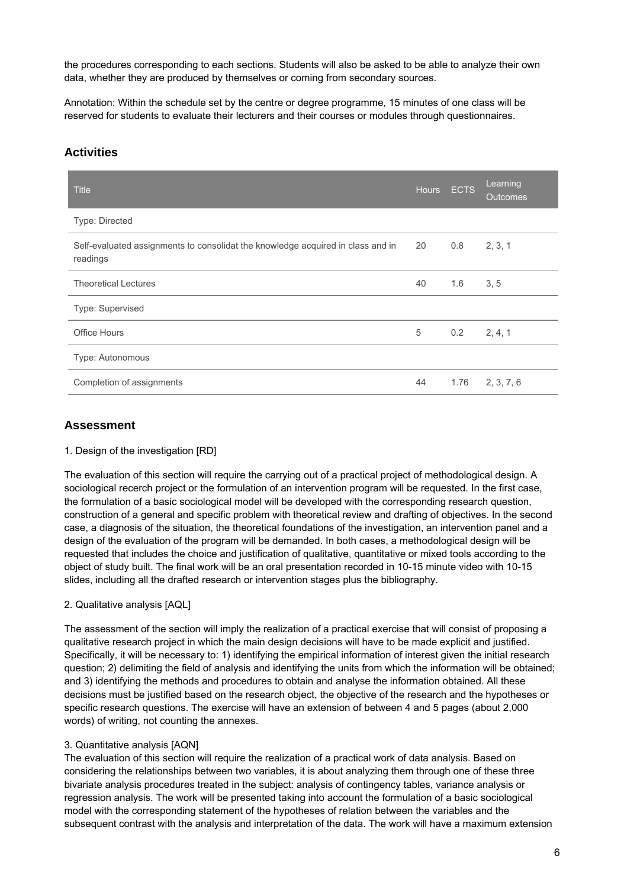the procedures corresponding to each sections. Students will also be asked to be able to analyze their own data, whether they are produced by themselves or coming from secondary sources.

Annotation: Within the schedule set by the centre or degree programme, 15 minutes of one class will be reserved for students to evaluate their lecturers and their courses or modules through questionnaires.

# **Activities**

| <b>Title</b>                                                                                | <b>Hours</b> | <b>ECTS</b> | Learning<br><b>Outcomes</b> |
|---------------------------------------------------------------------------------------------|--------------|-------------|-----------------------------|
| Type: Directed                                                                              |              |             |                             |
| Self-evaluated assignments to consolidat the knowledge acquired in class and in<br>readings | 20           | 0.8         | 2, 3, 1                     |
| <b>Theoretical Lectures</b>                                                                 | 40           | 1.6         | 3, 5                        |
| Type: Supervised                                                                            |              |             |                             |
| <b>Office Hours</b>                                                                         | 5            | 0.2         | 2, 4, 1                     |
| Type: Autonomous                                                                            |              |             |                             |
| Completion of assignments                                                                   | 44           | 1.76        | 2, 3, 7, 6                  |

# **Assessment**

### 1. Design of the investigation [RD]

The evaluation of this section will require the carrying out of a practical project of methodological design. A sociological recerch project or the formulation of an intervention program will be requested. In the first case, the formulation of a basic sociological model will be developed with the corresponding research question, construction of a general and specific problem with theoretical review and drafting of objectives. In the second case, a diagnosis of the situation, the theoretical foundations of the investigation, an intervention panel and a design of the evaluation of the program will be demanded. In both cases, a methodological design will be requested that includes the choice and justification of qualitative, quantitative or mixed tools according to the object of study built. The final work will be an oral presentation recorded in 10-15 minute video with 10-15 slides, including all the drafted research or intervention stages plus the bibliography.

### 2. Qualitative analysis [AQL]

The assessment of the section will imply the realization of a practical exercise that will consist of proposing a qualitative research project in which the main design decisions will have to be made explicit and justified. Specifically, it will be necessary to: 1) identifying the empirical information of interest given the initial research question; 2) delimiting the field of analysis and identifying the units from which the information will be obtained; and 3) identifying the methods and procedures to obtain and analyse the information obtained. All these decisions must be justified based on the research object, the objective of the research and the hypotheses or specific research questions. The exercise will have an extension of between 4 and 5 pages (about 2,000 words) of writing, not counting the annexes.

### 3. Quantitative analysis [AQN]

The evaluation of this section will require the realization of a practical work of data analysis. Based on considering the relationships between two variables, it is about analyzing them through one of these three bivariate analysis procedures treated in the subject: analysis of contingency tables, variance analysis or regression analysis. The work will be presented taking into account the formulation of a basic sociological model with the corresponding statement of the hypotheses of relation between the variables and the subsequent contrast with the analysis and interpretation of the data. The work will have a maximum extension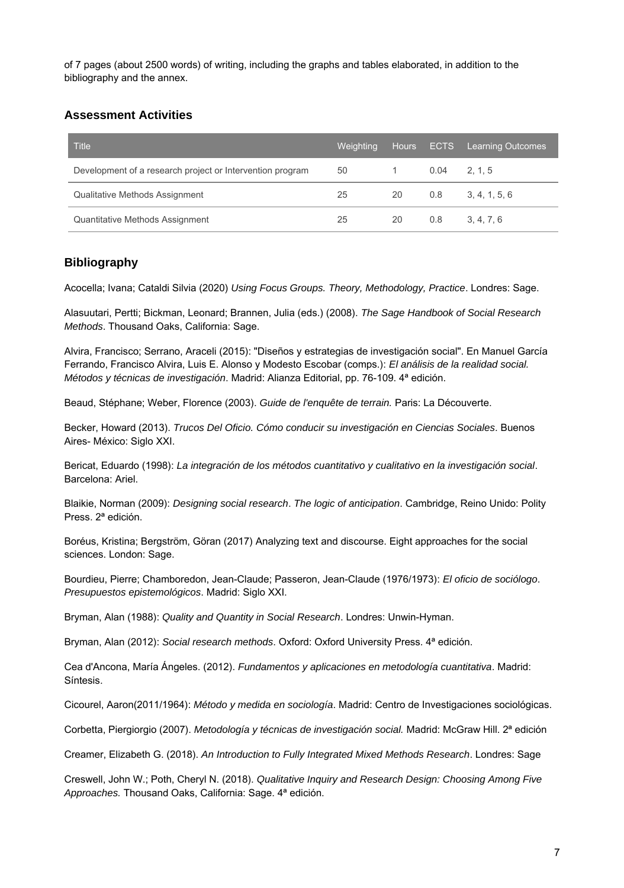of 7 pages (about 2500 words) of writing, including the graphs and tables elaborated, in addition to the bibliography and the annex.

# **Assessment Activities**

| <b>Title</b>                                              | Weighting |    |      | Hours ECTS Learning Outcomes |
|-----------------------------------------------------------|-----------|----|------|------------------------------|
| Development of a research project or Intervention program | 50        |    | 0.04 | 2, 1, 5                      |
| Qualitative Methods Assignment                            | 25        | 20 | 0.8  | 3, 4, 1, 5, 6                |
| Quantitative Methods Assignment                           | 25        | 20 | 0.8  | 3, 4, 7, 6                   |

# **Bibliography**

Acocella; Ivana; Cataldi Silvia (2020) Using Focus Groups. Theory, Methodology, Practice. Londres: Sage.

Alasuutari, Pertti; Bickman, Leonard; Brannen, Julia (eds.) (2008). The Sage Handbook of Social Research Methods. Thousand Oaks, California: Sage.

Alvira, Francisco; Serrano, Araceli (2015): "Diseños y estrategias de investigación social". En Manuel García Ferrando, Francisco Alvira, Luis E. Alonso y Modesto Escobar (comps.): El análisis de la realidad social. Métodos y técnicas de investigación. Madrid: Alianza Editorial, pp. 76-109. 4ª edición.

Beaud, Stéphane; Weber, Florence (2003). Guide de l'enquête de terrain. Paris: La Découverte.

Becker, Howard (2013). Trucos Del Oficio. Cómo conducir su investigación en Ciencias Sociales. Buenos Aires- México: Siglo XXI.

Bericat, Eduardo (1998): La integración de los métodos cuantitativo y cualitativo en la investigación social. Barcelona: Ariel.

Blaikie, Norman (2009): Designing social research. The logic of anticipation. Cambridge, Reino Unido: Polity Press. 2ª edición.

Boréus, Kristina; Bergström, Göran (2017) Analyzing text and discourse. Eight approaches for the social sciences. London: Sage.

Bourdieu, Pierre; Chamboredon, Jean-Claude; Passeron, Jean-Claude (1976/1973): El oficio de sociólogo. Presupuestos epistemológicos. Madrid: Siglo XXI.

Bryman, Alan (1988): Quality and Quantity in Social Research. Londres: Unwin-Hyman.

Bryman, Alan (2012): Social research methods. Oxford: Oxford University Press. 4<sup>ª</sup> edición.

Cea d'Ancona, María Ángeles. (2012). Fundamentos y aplicaciones en metodología cuantitativa. Madrid: Síntesis.

Cicourel, Aaron(2011/1964): Método y medida en sociología. Madrid: Centro de Investigaciones sociológicas.

Corbetta, Piergiorgio (2007). *Metodología y técnicas de investigación social.* Madrid: McGraw Hill. 2ª edición

Creamer, Elizabeth G. (2018). An Introduction to Fully Integrated Mixed Methods Research. Londres: Sage

Creswell, John W.; Poth, Cheryl N. (2018). Qualitative Inquiry and Research Design: Choosing Among Five Approaches. Thousand Oaks, California: Sage. 4<sup>ª</sup> edición.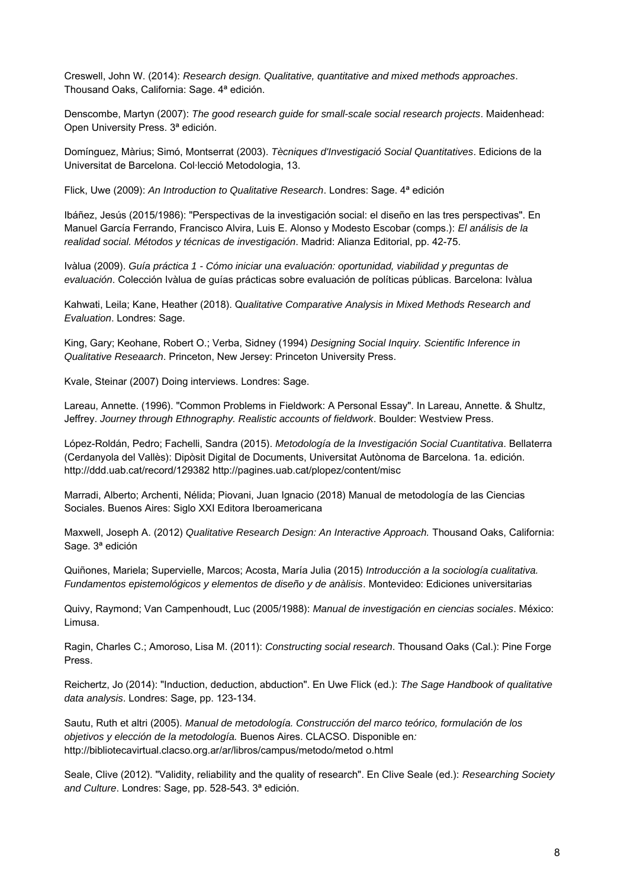Creswell, John W. (2014): Research design. Qualitative, quantitative and mixed methods approaches. Thousand Oaks, California: Sage. 4ª edición.

Denscombe, Martyn (2007): The good research guide for small-scale social research projects. Maidenhead: Open University Press. 3ª edición.

Domínguez, Màrius; Simó, Montserrat (2003). Tècniques d'Investigació Social Quantitatives. Edicions de la Universitat de Barcelona. Col·lecció Metodologia, 13.

Flick, Uwe (2009): An Introduction to Qualitative Research. Londres: Sage. 4<sup>ª</sup> edición

Ibáñez, Jesús (2015/1986): "Perspectivas de la investigación social: el diseño en las tres perspectivas". En Manuel García Ferrando, Francisco Alvira, Luis E. Alonso y Modesto Escobar (comps.): El análisis de la realidad social. Métodos y técnicas de investigación. Madrid: Alianza Editorial, pp. 42-75.

Ivàlua (2009). Guía práctica 1 - Cómo iniciar una evaluación: oportunidad, viabilidad y preguntas de evaluación. Colección Ivàlua de guías prácticas sobre evaluación de políticas públicas. Barcelona: Ivàlua

Kahwati, Leila; Kane, Heather (2018). Qualitative Comparative Analysis in Mixed Methods Research and Evaluation. Londres: Sage.

King, Gary; Keohane, Robert O.; Verba, Sidney (1994) Designing Social Inquiry. Scientific Inference in Qualitative Reseaarch. Princeton, New Jersey: Princeton University Press.

Kvale, Steinar (2007) Doing interviews. Londres: Sage.

Lareau, Annette. (1996). "Common Problems in Fieldwork: A Personal Essay". In Lareau, Annette. & Shultz, Jeffrey. Journey through Ethnography. Realistic accounts of fieldwork. Boulder: Westview Press.

López-Roldán, Pedro; Fachelli, Sandra (2015). Metodología de la Investigación Social Cuantitativa. Bellaterra (Cerdanyola del Vallès): Dipòsit Digital de Documents, Universitat Autònoma de Barcelona. 1a. edición. http://ddd.uab.cat/record/129382 http://pagines.uab.cat/plopez/content/misc

Marradi, Alberto; Archenti, Nélida; Piovani, Juan Ignacio (2018) Manual de metodología de las Ciencias Sociales. Buenos Aires: Siglo XXI Editora Iberoamericana

Maxwell, Joseph A. (2012) Qualitative Research Design: An Interactive Approach. Thousand Oaks, California: Sage. 3ª edición

Quiñones, Mariela; Supervielle, Marcos; Acosta, María Julia (2015) Introducción a la sociología cualitativa. Fundamentos epistemológicos y elementos de diseño y de anàlisis. Montevideo: Ediciones universitarias

Quivy, Raymond; Van Campenhoudt, Luc (2005/1988): Manual de investigación en ciencias sociales. México: Limusa.

Ragin, Charles C.; Amoroso, Lisa M. (2011): Constructing social research. Thousand Oaks (Cal.): Pine Forge Press.

Reichertz, Jo (2014): "Induction, deduction, abduction". En Uwe Flick (ed.): The Sage Handbook of qualitative data analysis. Londres: Sage, pp. 123-134.

Sautu, Ruth et altri (2005). Manual de metodología. Construcción del marco teórico, formulación de los objetivos y elección de la metodología. Buenos Aires. CLACSO. Disponible en: http://bibliotecavirtual.clacso.org.ar/ar/libros/campus/metodo/metod o.html

Seale, Clive (2012). "Validity, reliability and the quality of research". En Clive Seale (ed.): Researching Society and Culture. Londres: Sage, pp. 528-543. 3ª edición.